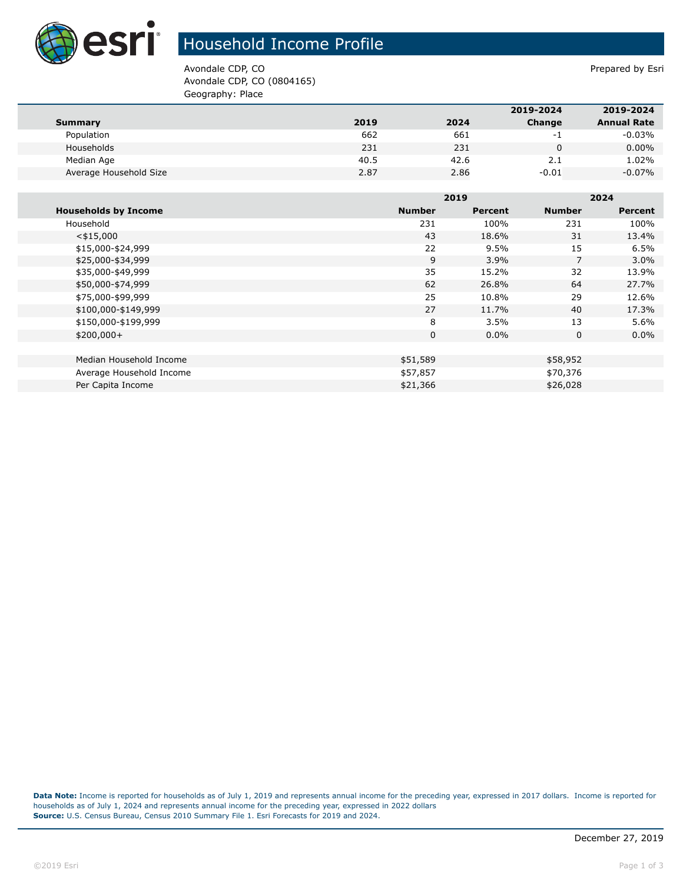

## Household Income Profile

Avondale CDP, CO **Prepared by Estimate COP**,  $\overline{P}$ Avondale CDP, CO (0804165) Geography: Place

|                        |      |      | 2019-2024 | 2019-2024          |
|------------------------|------|------|-----------|--------------------|
| Summary                | 2019 | 2024 | Change    | <b>Annual Rate</b> |
| Population             | 662  | 661  | - 1       | $-0.03%$           |
| Households             | 231  | 231  |           | $0.00\%$           |
| Median Age             | 40.5 | 42.6 | 2.1       | 1.02%              |
| Average Household Size | 2.87 | 2.86 | $-0.01$   | $-0.07%$           |

|                             |               | 2019    |               | 2024           |  |
|-----------------------------|---------------|---------|---------------|----------------|--|
| <b>Households by Income</b> | <b>Number</b> | Percent | <b>Number</b> | <b>Percent</b> |  |
| Household                   | 231           | 100%    | 231           | 100%           |  |
| $<$ \$15,000                | 43            | 18.6%   | 31            | 13.4%          |  |
| \$15,000-\$24,999           | 22            | 9.5%    | 15            | 6.5%           |  |
| \$25,000-\$34,999           | 9             | 3.9%    | 7             | $3.0\%$        |  |
| \$35,000-\$49,999           | 35            | 15.2%   | 32            | 13.9%          |  |
| \$50,000-\$74,999           | 62            | 26.8%   | 64            | 27.7%          |  |
| \$75,000-\$99,999           | 25            | 10.8%   | 29            | 12.6%          |  |
| \$100,000-\$149,999         | 27            | 11.7%   | 40            | 17.3%          |  |
| \$150,000-\$199,999         | 8             | 3.5%    | 13            | 5.6%           |  |
| $$200,000+$                 | 0             | $0.0\%$ | $\mathbf{0}$  | $0.0\%$        |  |
|                             |               |         |               |                |  |
| Median Household Income     | \$51,589      |         | \$58,952      |                |  |
| Average Household Income    | \$57,857      |         | \$70,376      |                |  |
| Per Capita Income           | \$21,366      |         | \$26,028      |                |  |

**Data Note:** Income is reported for households as of July 1, 2019 and represents annual income for the preceding year, expressed in 2017 dollars. Income is reported for households as of July 1, 2024 and represents annual income for the preceding year, expressed in 2022 dollars **Source:** U.S. Census Bureau, Census 2010 Summary File 1. Esri Forecasts for 2019 and 2024.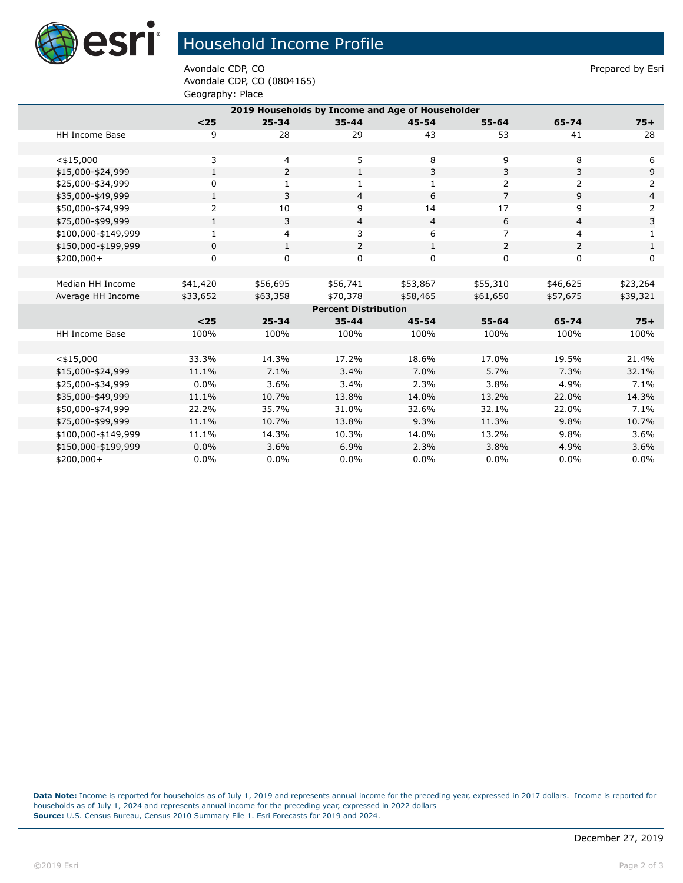

## Household Income Profile

Avondale CDP, CO **Prepared by Estimate COP**,  $\overline{P}$ Avondale CDP, CO (0804165) Geography: Place

| 2019 Households by Income and Age of Householder |              |                |                |                |                |                |                |  |  |
|--------------------------------------------------|--------------|----------------|----------------|----------------|----------------|----------------|----------------|--|--|
|                                                  | $25$         | $25 - 34$      | $35 - 44$      | $45 - 54$      | $55 - 64$      | 65-74          | $75+$          |  |  |
| HH Income Base                                   | 9            | 28             | 29             | 43             | 53             | 41             | 28             |  |  |
|                                                  |              |                |                |                |                |                |                |  |  |
| $<$ \$15,000                                     | 3            | 4              | 5              | 8              | 9              | 8              | 6              |  |  |
| \$15,000-\$24,999                                | $\mathbf{1}$ | $\overline{2}$ | $\mathbf{1}$   | 3              | 3              | 3              | 9              |  |  |
| \$25,000-\$34,999                                | $\mathbf 0$  | 1              | 1              | $\mathbf{1}$   | $\overline{2}$ | $\overline{2}$ | $\overline{2}$ |  |  |
| \$35,000-\$49,999                                | $\mathbf{1}$ | 3              | $\overline{4}$ | 6              | $\overline{7}$ | 9              | $\overline{4}$ |  |  |
| \$50,000-\$74,999                                | 2            | 10             | 9              | 14             | 17             | 9              | 2              |  |  |
| \$75,000-\$99,999                                | $\mathbf{1}$ | 3              | 4              | $\overline{4}$ | 6              | 4              | 3              |  |  |
| \$100,000-\$149,999                              | $\mathbf{1}$ | $\overline{4}$ | 3              | 6              | 7              | 4              | $\mathbf{1}$   |  |  |
| \$150,000-\$199,999                              | 0            | $\mathbf{1}$   | 2              | $\mathbf{1}$   | 2              | $\overline{2}$ | $\mathbf{1}$   |  |  |
| \$200,000+                                       | $\mathbf 0$  | 0              | $\mathbf 0$    | 0              | 0              | 0              | 0              |  |  |
|                                                  |              |                |                |                |                |                |                |  |  |
| Median HH Income                                 | \$41,420     | \$56,695       | \$56,741       | \$53,867       | \$55,310       | \$46,625       | \$23,264       |  |  |
| Average HH Income                                | \$33,652     | \$63,358       | \$70,378       | \$58,465       | \$61,650       | \$57,675       | \$39,321       |  |  |
| <b>Percent Distribution</b>                      |              |                |                |                |                |                |                |  |  |
|                                                  | $25$         | $25 - 34$      | $35 - 44$      | $45 - 54$      | $55 - 64$      | 65-74          | $75+$          |  |  |
| <b>HH Income Base</b>                            | 100%         | 100%           | 100%           | 100%           | 100%           | 100%           | 100%           |  |  |
|                                                  |              |                |                |                |                |                |                |  |  |
| $<$ \$15,000                                     | 33.3%        | 14.3%          | 17.2%          | 18.6%          | 17.0%          | 19.5%          | 21.4%          |  |  |
| \$15,000-\$24,999                                | 11.1%        | 7.1%           | 3.4%           | 7.0%           | 5.7%           | 7.3%           | 32.1%          |  |  |
| \$25,000-\$34,999                                | $0.0\%$      | 3.6%           | 3.4%           | 2.3%           | 3.8%           | 4.9%           | 7.1%           |  |  |
| \$35,000-\$49,999                                | 11.1%        | 10.7%          | 13.8%          | 14.0%          | 13.2%          | 22.0%          | 14.3%          |  |  |
| \$50,000-\$74,999                                | 22.2%        | 35.7%          | 31.0%          | 32.6%          | 32.1%          | 22.0%          | 7.1%           |  |  |
| \$75,000-\$99,999                                | 11.1%        | 10.7%          | 13.8%          | 9.3%           | 11.3%          | 9.8%           | 10.7%          |  |  |
| \$100,000-\$149,999                              | 11.1%        | 14.3%          | 10.3%          | 14.0%          | 13.2%          | 9.8%           | 3.6%           |  |  |
| \$150,000-\$199,999                              | 0.0%         | 3.6%           | 6.9%           | 2.3%           | 3.8%           | 4.9%           | 3.6%           |  |  |
| \$200,000+                                       | 0.0%         | 0.0%           | 0.0%           | 0.0%           | 0.0%           | 0.0%           | $0.0\%$        |  |  |

**Data Note:** Income is reported for households as of July 1, 2019 and represents annual income for the preceding year, expressed in 2017 dollars. Income is reported for households as of July 1, 2024 and represents annual income for the preceding year, expressed in 2022 dollars **Source:** U.S. Census Bureau, Census 2010 Summary File 1. Esri Forecasts for 2019 and 2024.